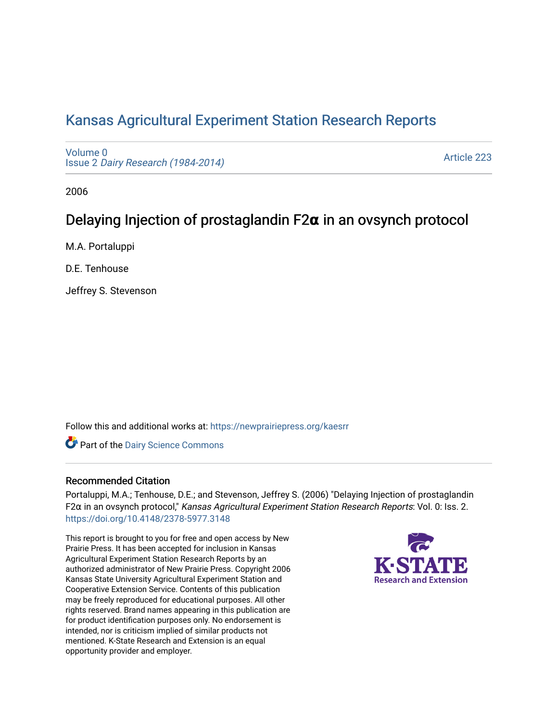## [Kansas Agricultural Experiment Station Research Reports](https://newprairiepress.org/kaesrr)

[Volume 0](https://newprairiepress.org/kaesrr/vol0) Issue 2 [Dairy Research \(1984-2014\)](https://newprairiepress.org/kaesrr/vol0/iss2) 

[Article 223](https://newprairiepress.org/kaesrr/vol0/iss2/223) 

2006

# Delaying Injection of prostaglandin F2**α** in an ovsynch protocol

M.A. Portaluppi

D.E. Tenhouse

Jeffrey S. Stevenson

Follow this and additional works at: [https://newprairiepress.org/kaesrr](https://newprairiepress.org/kaesrr?utm_source=newprairiepress.org%2Fkaesrr%2Fvol0%2Fiss2%2F223&utm_medium=PDF&utm_campaign=PDFCoverPages) 

Part of the [Dairy Science Commons](http://network.bepress.com/hgg/discipline/79?utm_source=newprairiepress.org%2Fkaesrr%2Fvol0%2Fiss2%2F223&utm_medium=PDF&utm_campaign=PDFCoverPages) 

## Recommended Citation

Portaluppi, M.A.; Tenhouse, D.E.; and Stevenson, Jeffrey S. (2006) "Delaying Injection of prostaglandin F2α in an ovsynch protocol," Kansas Agricultural Experiment Station Research Reports: Vol. 0: Iss. 2. <https://doi.org/10.4148/2378-5977.3148>

This report is brought to you for free and open access by New Prairie Press. It has been accepted for inclusion in Kansas Agricultural Experiment Station Research Reports by an authorized administrator of New Prairie Press. Copyright 2006 Kansas State University Agricultural Experiment Station and Cooperative Extension Service. Contents of this publication may be freely reproduced for educational purposes. All other rights reserved. Brand names appearing in this publication are for product identification purposes only. No endorsement is intended, nor is criticism implied of similar products not mentioned. K-State Research and Extension is an equal opportunity provider and employer.

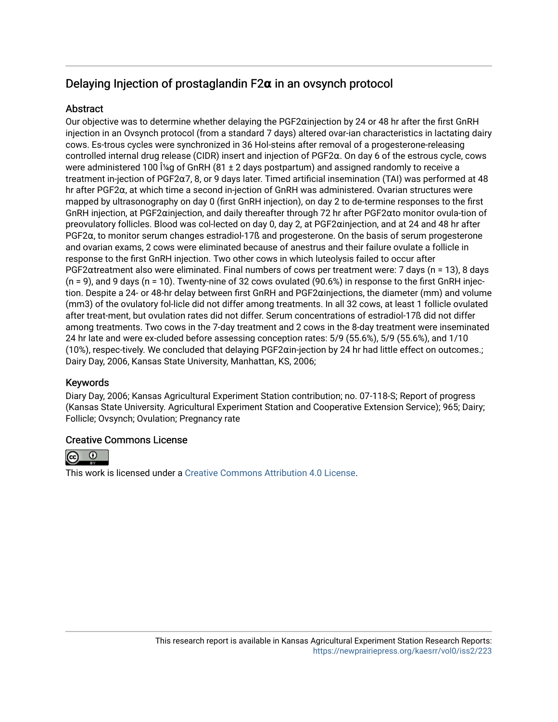## Delaying Injection of prostaglandin F2**α** in an ovsynch protocol

## **Abstract**

Our objective was to determine whether delaying the PGF2αinjection by 24 or 48 hr after the first GnRH injection in an Ovsynch protocol (from a standard 7 days) altered ovar-ian characteristics in lactating dairy cows. Es-trous cycles were synchronized in 36 Hol-steins after removal of a progesterone-releasing controlled internal drug release (CIDR) insert and injection of PGF2α. On day 6 of the estrous cycle, cows were administered 100  $\hat{I}$ <sup>'</sup>/<sub>4</sub>g of GnRH (81 ± 2 days postpartum) and assigned randomly to receive a treatment in-jection of PGF2α7, 8, or 9 days later. Timed artificial insemination (TAI) was performed at 48 hr after PGF2α, at which time a second in-jection of GnRH was administered. Ovarian structures were mapped by ultrasonography on day 0 (first GnRH injection), on day 2 to de-termine responses to the first GnRH injection, at PGF2αinjection, and daily thereafter through 72 hr after PGF2αto monitor ovula-tion of preovulatory follicles. Blood was col-lected on day 0, day 2, at PGF2αinjection, and at 24 and 48 hr after PGF2α, to monitor serum changes estradiol-17ß and progesterone. On the basis of serum progesterone and ovarian exams, 2 cows were eliminated because of anestrus and their failure ovulate a follicle in response to the first GnRH injection. Two other cows in which luteolysis failed to occur after PGF2αtreatment also were eliminated. Final numbers of cows per treatment were: 7 days (n = 13), 8 days  $(n = 9)$ , and 9 days  $(n = 10)$ . Twenty-nine of 32 cows ovulated (90.6%) in response to the first GnRH injection. Despite a 24- or 48-hr delay between first GnRH and PGF2αinjections, the diameter (mm) and volume (mm3) of the ovulatory fol-licle did not differ among treatments. In all 32 cows, at least 1 follicle ovulated after treat-ment, but ovulation rates did not differ. Serum concentrations of estradiol-17ß did not differ among treatments. Two cows in the 7-day treatment and 2 cows in the 8-day treatment were inseminated 24 hr late and were ex-cluded before assessing conception rates: 5/9 (55.6%), 5/9 (55.6%), and 1/10 (10%), respec-tively. We concluded that delaying PGF2αin-jection by 24 hr had little effect on outcomes.; Dairy Day, 2006, Kansas State University, Manhattan, KS, 2006;

## Keywords

Diary Day, 2006; Kansas Agricultural Experiment Station contribution; no. 07-118-S; Report of progress (Kansas State University. Agricultural Experiment Station and Cooperative Extension Service); 965; Dairy; Follicle; Ovsynch; Ovulation; Pregnancy rate

## Creative Commons License



This work is licensed under a [Creative Commons Attribution 4.0 License](https://creativecommons.org/licenses/by/4.0/).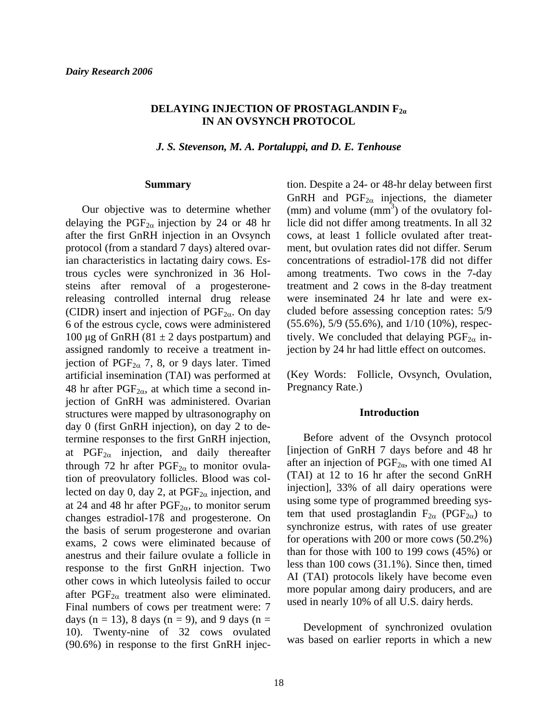### **DELAYING INJECTION OF PROSTAGLANDIN F2<sup>α</sup> IN AN OVSYNCH PROTOCOL**

*J. S. Stevenson, M. A. Portaluppi, and D. E. Tenhouse* 

#### **Summary**

Our objective was to determine whether delaying the PGF<sub>2 $\alpha$ </sub> injection by 24 or 48 hr after the first GnRH injection in an Ovsynch protocol (from a standard 7 days) altered ovarian characteristics in lactating dairy cows. Estrous cycles were synchronized in 36 Holsteins after removal of a progesteronereleasing controlled internal drug release (CIDR) insert and injection of  $PGF_{2\alpha}$ . On day 6 of the estrous cycle, cows were administered 100 μg of GnRH (81  $\pm$  2 days postpartum) and assigned randomly to receive a treatment injection of  $PGF_{2\alpha}$  7, 8, or 9 days later. Timed artificial insemination (TAI) was performed at 48 hr after  $PGF_{2\alpha}$ , at which time a second injection of GnRH was administered. Ovarian structures were mapped by ultrasonography on day 0 (first GnRH injection), on day 2 to determine responses to the first GnRH injection, at  $PGF_{2\alpha}$  injection, and daily thereafter through 72 hr after  $PGF_{2\alpha}$  to monitor ovulation of preovulatory follicles. Blood was collected on day 0, day 2, at  $PGF_{2\alpha}$  injection, and at 24 and 48 hr after  $PGF_{2\alpha}$ , to monitor serum changes estradiol-17ß and progesterone. On the basis of serum progesterone and ovarian exams, 2 cows were eliminated because of anestrus and their failure ovulate a follicle in response to the first GnRH injection. Two other cows in which luteolysis failed to occur after  $PGF_{2\alpha}$  treatment also were eliminated. Final numbers of cows per treatment were: 7 days (n = 13), 8 days (n = 9), and 9 days (n = 10). Twenty-nine of 32 cows ovulated (90.6%) in response to the first GnRH injec-

tion. Despite a 24- or 48-hr delay between first GnRH and  $PGF_{2\alpha}$  injections, the diameter  $\text{(mm)}$  and volume  $\text{(mm)}^3$  of the ovulatory follicle did not differ among treatments. In all 32 cows, at least 1 follicle ovulated after treatment, but ovulation rates did not differ. Serum concentrations of estradiol-17ß did not differ among treatments. Two cows in the 7-day treatment and 2 cows in the 8-day treatment were inseminated 24 hr late and were excluded before assessing conception rates: 5/9 (55.6%), 5/9 (55.6%), and 1/10 (10%), respectively. We concluded that delaying  $PGF_{2\alpha}$  injection by 24 hr had little effect on outcomes.

(Key Words: Follicle, Ovsynch, Ovulation, Pregnancy Rate.)

#### **Introduction**

 Before advent of the Ovsynch protocol [injection of GnRH 7 days before and 48 hr after an injection of  $PGF_{2\alpha}$ , with one timed AI (TAI) at 12 to 16 hr after the second GnRH injection], 33% of all dairy operations were using some type of programmed breeding system that used prostaglandin  $F_{2\alpha}$  (PGF<sub>2 $\alpha$ </sub>) to synchronize estrus, with rates of use greater for operations with 200 or more cows (50.2%) than for those with 100 to 199 cows (45%) or less than 100 cows (31.1%). Since then, timed AI (TAI) protocols likely have become even more popular among dairy producers, and are used in nearly 10% of all U.S. dairy herds.

 Development of synchronized ovulation was based on earlier reports in which a new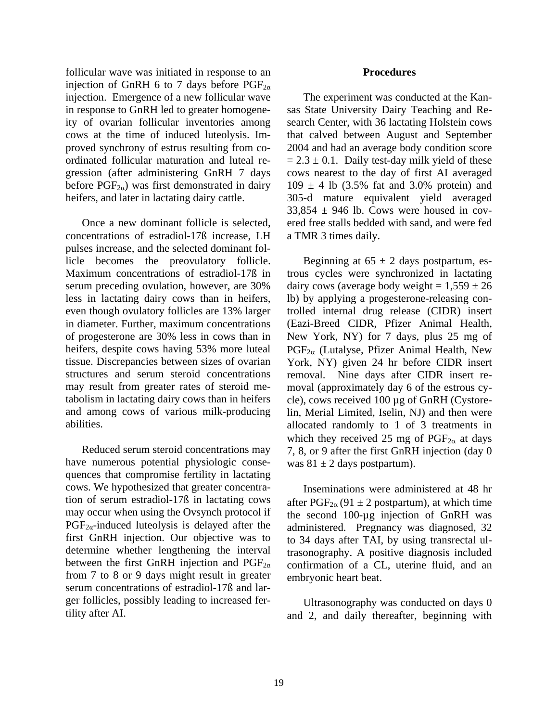follicular wave was initiated in response to an injection of GnRH 6 to 7 days before  $PGF_{2\alpha}$ injection. Emergence of a new follicular wave in response to GnRH led to greater homogeneity of ovarian follicular inventories among cows at the time of induced luteolysis. Improved synchrony of estrus resulting from coordinated follicular maturation and luteal regression (after administering GnRH 7 days before  $PGF_{2\alpha}$ ) was first demonstrated in dairy heifers, and later in lactating dairy cattle.

Once a new dominant follicle is selected, concentrations of estradiol-17ß increase, LH pulses increase, and the selected dominant follicle becomes the preovulatory follicle. Maximum concentrations of estradiol-17ß in serum preceding ovulation, however, are 30% less in lactating dairy cows than in heifers, even though ovulatory follicles are 13% larger in diameter. Further, maximum concentrations of progesterone are 30% less in cows than in heifers, despite cows having 53% more luteal tissue. Discrepancies between sizes of ovarian structures and serum steroid concentrations may result from greater rates of steroid metabolism in lactating dairy cows than in heifers and among cows of various milk-producing abilities.

Reduced serum steroid concentrations may have numerous potential physiologic consequences that compromise fertility in lactating cows. We hypothesized that greater concentration of serum estradiol-17ß in lactating cows may occur when using the Ovsynch protocol if  $PGF_{2\alpha}$ -induced luteolysis is delayed after the first GnRH injection. Our objective was to determine whether lengthening the interval between the first GnRH injection and  $PGF_{2\alpha}$ from 7 to 8 or 9 days might result in greater serum concentrations of estradiol-17ß and larger follicles, possibly leading to increased fertility after AI.

### **Procedures**

 The experiment was conducted at the Kansas State University Dairy Teaching and Research Center, with 36 lactating Holstein cows that calved between August and September 2004 and had an average body condition score  $= 2.3 \pm 0.1$ . Daily test-day milk yield of these cows nearest to the day of first AI averaged  $109 \pm 4$  lb (3.5% fat and 3.0% protein) and 305-d mature equivalent yield averaged  $33,854 \pm 946$  lb. Cows were housed in covered free stalls bedded with sand, and were fed a TMR 3 times daily.

Beginning at  $65 \pm 2$  days postpartum, estrous cycles were synchronized in lactating dairy cows (average body weight =  $1,559 \pm 26$ lb) by applying a progesterone-releasing controlled internal drug release (CIDR) insert (Eazi-Breed CIDR, Pfizer Animal Health, New York, NY) for 7 days, plus 25 mg of  $PGF_{2\alpha}$  (Lutalyse, Pfizer Animal Health, New York, NY) given 24 hr before CIDR insert removal. Nine days after CIDR insert removal (approximately day 6 of the estrous cycle), cows received 100 µg of GnRH (Cystorelin, Merial Limited, Iselin, NJ) and then were allocated randomly to 1 of 3 treatments in which they received 25 mg of  $PGF_{2\alpha}$  at days 7, 8, or 9 after the first GnRH injection (day 0 was  $81 \pm 2$  days postpartum).

Inseminations were administered at 48 hr after  $PGF_{2\alpha}(91 \pm 2 \text{ postpartum})$ , at which time the second 100-µg injection of GnRH was administered. Pregnancy was diagnosed, 32 to 34 days after TAI, by using transrectal ultrasonography. A positive diagnosis included confirmation of a CL, uterine fluid, and an embryonic heart beat.

Ultrasonography was conducted on days 0 and 2, and daily thereafter, beginning with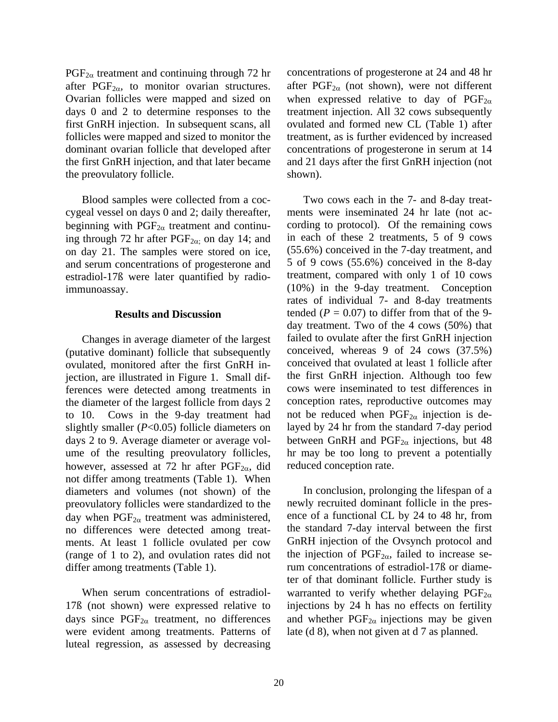$PGF_{2\alpha}$  treatment and continuing through 72 hr after  $PGF_{2\alpha}$ , to monitor ovarian structures. Ovarian follicles were mapped and sized on days 0 and 2 to determine responses to the first GnRH injection. In subsequent scans, all follicles were mapped and sized to monitor the dominant ovarian follicle that developed after the first GnRH injection, and that later became the preovulatory follicle.

Blood samples were collected from a coccygeal vessel on days 0 and 2; daily thereafter, beginning with  $PGF_{2\alpha}$  treatment and continuing through 72 hr after  $PGF_{2\alpha}$ ; on day 14; and on day 21. The samples were stored on ice, and serum concentrations of progesterone and estradiol-17ß were later quantified by radioimmunoassay.

### **Results and Discussion**

Changes in average diameter of the largest (putative dominant) follicle that subsequently ovulated, monitored after the first GnRH injection, are illustrated in Figure 1. Small differences were detected among treatments in the diameter of the largest follicle from days 2 to 10. Cows in the 9-day treatment had slightly smaller (*P*<0.05) follicle diameters on days 2 to 9. Average diameter or average volume of the resulting preovulatory follicles, however, assessed at 72 hr after  $PGF_{2\alpha}$ , did not differ among treatments (Table 1). When diameters and volumes (not shown) of the preovulatory follicles were standardized to the day when  $PGF_{2\alpha}$  treatment was administered, no differences were detected among treatments. At least 1 follicle ovulated per cow (range of 1 to 2), and ovulation rates did not differ among treatments (Table 1).

When serum concentrations of estradiol-17ß (not shown) were expressed relative to days since  $PGF_{2\alpha}$  treatment, no differences were evident among treatments. Patterns of luteal regression, as assessed by decreasing concentrations of progesterone at 24 and 48 hr after  $PGF_{2\alpha}$  (not shown), were not different when expressed relative to day of  $PGF_{2\alpha}$ treatment injection. All 32 cows subsequently ovulated and formed new CL (Table 1) after treatment, as is further evidenced by increased concentrations of progesterone in serum at 14 and 21 days after the first GnRH injection (not shown).

Two cows each in the 7- and 8-day treatments were inseminated 24 hr late (not according to protocol). Of the remaining cows in each of these 2 treatments, 5 of 9 cows (55.6%) conceived in the 7-day treatment, and 5 of 9 cows (55.6%) conceived in the 8-day treatment, compared with only 1 of 10 cows (10%) in the 9-day treatment. Conception rates of individual 7- and 8-day treatments tended ( $P = 0.07$ ) to differ from that of the 9day treatment. Two of the 4 cows (50%) that failed to ovulate after the first GnRH injection conceived, whereas 9 of 24 cows (37.5%) conceived that ovulated at least 1 follicle after the first GnRH injection. Although too few cows were inseminated to test differences in conception rates, reproductive outcomes may not be reduced when  $PGF_{2\alpha}$  injection is delayed by 24 hr from the standard 7-day period between GnRH and  $PGF_{2\alpha}$  injections, but 48 hr may be too long to prevent a potentially reduced conception rate.

In conclusion, prolonging the lifespan of a newly recruited dominant follicle in the presence of a functional CL by 24 to 48 hr, from the standard 7-day interval between the first GnRH injection of the Ovsynch protocol and the injection of  $PGF_{2\alpha}$ , failed to increase serum concentrations of estradiol-17ß or diameter of that dominant follicle. Further study is warranted to verify whether delaying  $PGF_{2\alpha}$ injections by 24 h has no effects on fertility and whether  $PGF_{2\alpha}$  injections may be given late (d 8), when not given at d 7 as planned.